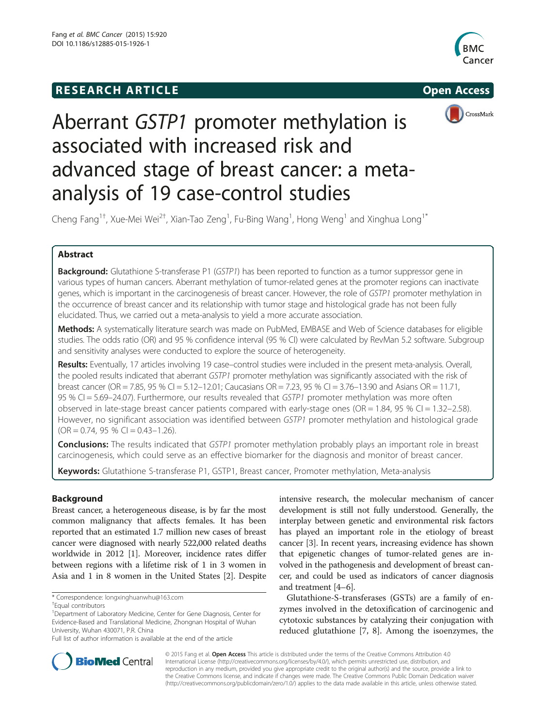## **RESEARCH ARTICLE Example 2014 The SEAR CH ACCESS**



CrossMark



# Aberrant GSTP1 promoter methylation is associated with increased risk and advanced stage of breast cancer: a metaanalysis of 19 case-control studies

Cheng Fang $^{\rm 1+}$ , Xue-Mei Wei $^{\rm 2+}$ , Xian-Tao Zeng $^{\rm 1}$ , Fu-Bing Wang $^{\rm 1}$ , Hong Weng $^{\rm 1}$  and Xinghua Long $^{\rm 1*}$ 

## Abstract

**Background:** Glutathione S-transferase P1 (GSTP1) has been reported to function as a tumor suppressor gene in various types of human cancers. Aberrant methylation of tumor-related genes at the promoter regions can inactivate genes, which is important in the carcinogenesis of breast cancer. However, the role of GSTP1 promoter methylation in the occurrence of breast cancer and its relationship with tumor stage and histological grade has not been fully elucidated. Thus, we carried out a meta-analysis to yield a more accurate association.

Methods: A systematically literature search was made on PubMed, EMBASE and Web of Science databases for eligible studies. The odds ratio (OR) and 95 % confidence interval (95 % CI) were calculated by RevMan 5.2 software. Subgroup and sensitivity analyses were conducted to explore the source of heterogeneity.

Results: Eventually, 17 articles involving 19 case–control studies were included in the present meta-analysis. Overall, the pooled results indicated that aberrant GSTP1 promoter methylation was significantly associated with the risk of breast cancer (OR = 7.85, 95 % CI = 5.12–12.01; Caucasians OR = 7.23, 95 % CI = 3.76–13.90 and Asians OR = 11.71, 95 % CI = 5.69–24.07). Furthermore, our results revealed that GSTP1 promoter methylation was more often observed in late-stage breast cancer patients compared with early-stage ones ( $OR = 1.84$ , 95 % CI = 1.32–2.58). However, no significant association was identified between GSTP1 promoter methylation and histological grade  $(OR = 0.74, 95 % CI = 0.43-1.26).$ 

**Conclusions:** The results indicated that GSTP1 promoter methylation probably plays an important role in breast carcinogenesis, which could serve as an effective biomarker for the diagnosis and monitor of breast cancer.

Keywords: Glutathione S-transferase P1, GSTP1, Breast cancer, Promoter methylation, Meta-analysis

## Background

Breast cancer, a heterogeneous disease, is by far the most common malignancy that affects females. It has been reported that an estimated 1.7 million new cases of breast cancer were diagnosed with nearly 522,000 related deaths worldwide in 2012 [[1\]](#page-6-0). Moreover, incidence rates differ between regions with a lifetime risk of 1 in 3 women in Asia and 1 in 8 women in the United States [[2\]](#page-6-0). Despite

intensive research, the molecular mechanism of cancer development is still not fully understood. Generally, the interplay between genetic and environmental risk factors has played an important role in the etiology of breast cancer [\[3\]](#page-6-0). In recent years, increasing evidence has shown that epigenetic changes of tumor-related genes are involved in the pathogenesis and development of breast cancer, and could be used as indicators of cancer diagnosis and treatment [\[4](#page-6-0)–[6\]](#page-6-0).

Glutathione-S-transferases (GSTs) are a family of enzymes involved in the detoxification of carcinogenic and cytotoxic substances by catalyzing their conjugation with reduced glutathione [\[7](#page-6-0), [8](#page-6-0)]. Among the isoenzymes, the



© 2015 Fang et al. Open Access This article is distributed under the terms of the Creative Commons Attribution 4.0 International License [\(http://creativecommons.org/licenses/by/4.0/](http://creativecommons.org/licenses/by/4.0/)), which permits unrestricted use, distribution, and reproduction in any medium, provided you give appropriate credit to the original author(s) and the source, provide a link to the Creative Commons license, and indicate if changes were made. The Creative Commons Public Domain Dedication waiver [\(http://creativecommons.org/publicdomain/zero/1.0/](http://creativecommons.org/publicdomain/zero/1.0/)) applies to the data made available in this article, unless otherwise stated.

<sup>\*</sup> Correspondence: [longxinghuanwhu@163.com](mailto:longxinghuanwhu@163.com) †

Equal contributors

<sup>&</sup>lt;sup>1</sup>Department of Laboratory Medicine, Center for Gene Diagnosis, Center for Evidence-Based and Translational Medicine, Zhongnan Hospital of Wuhan University, Wuhan 430071, P.R. China

Full list of author information is available at the end of the article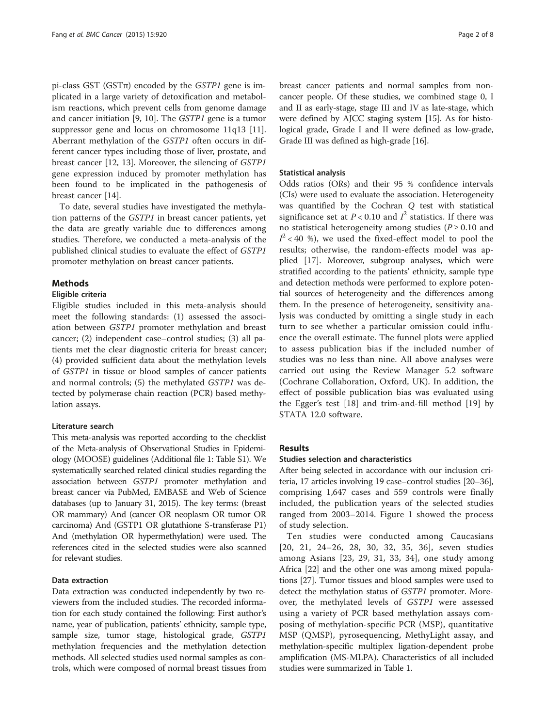pi-class GST (GST $\pi$ ) encoded by the *GSTP1* gene is implicated in a large variety of detoxification and metabolism reactions, which prevent cells from genome damage and cancer initiation [[9](#page-6-0), [10](#page-6-0)]. The GSTP1 gene is a tumor suppressor gene and locus on chromosome 11q13 [\[11](#page-6-0)]. Aberrant methylation of the GSTP1 often occurs in different cancer types including those of liver, prostate, and breast cancer [[12](#page-7-0), [13\]](#page-7-0). Moreover, the silencing of GSTP1 gene expression induced by promoter methylation has been found to be implicated in the pathogenesis of breast cancer [\[14\]](#page-7-0).

To date, several studies have investigated the methylation patterns of the GSTP1 in breast cancer patients, yet the data are greatly variable due to differences among studies. Therefore, we conducted a meta-analysis of the published clinical studies to evaluate the effect of GSTP1 promoter methylation on breast cancer patients.

## Methods

#### Eligible criteria

Eligible studies included in this meta-analysis should meet the following standards: (1) assessed the association between GSTP1 promoter methylation and breast cancer; (2) independent case–control studies; (3) all patients met the clear diagnostic criteria for breast cancer; (4) provided sufficient data about the methylation levels of GSTP1 in tissue or blood samples of cancer patients and normal controls; (5) the methylated GSTP1 was detected by polymerase chain reaction (PCR) based methylation assays.

## Literature search

This meta-analysis was reported according to the checklist of the Meta-analysis of Observational Studies in Epidemiology (MOOSE) guidelines (Additional file [1:](#page-6-0) Table S1). We systematically searched related clinical studies regarding the association between GSTP1 promoter methylation and breast cancer via PubMed, EMBASE and Web of Science databases (up to January 31, 2015). The key terms: (breast OR mammary) And (cancer OR neoplasm OR tumor OR carcinoma) And (GSTP1 OR glutathione S-transferase P1) And (methylation OR hypermethylation) were used. The references cited in the selected studies were also scanned for relevant studies.

#### Data extraction

Data extraction was conducted independently by two reviewers from the included studies. The recorded information for each study contained the following: First author's name, year of publication, patients' ethnicity, sample type, sample size, tumor stage, histological grade, GSTP1 methylation frequencies and the methylation detection methods. All selected studies used normal samples as controls, which were composed of normal breast tissues from breast cancer patients and normal samples from noncancer people. Of these studies, we combined stage 0, I and II as early-stage, stage III and IV as late-stage, which were defined by AJCC staging system [\[15\]](#page-7-0). As for histological grade, Grade I and II were defined as low-grade, Grade III was defined as high-grade [\[16\]](#page-7-0).

#### Statistical analysis

Odds ratios (ORs) and their 95 % confidence intervals (CIs) were used to evaluate the association. Heterogeneity was quantified by the Cochran Q test with statistical significance set at  $P < 0.10$  and  $I^2$  statistics. If there was no statistical heterogeneity among studies ( $P \ge 0.10$  and  $I^2$  < 40 %), we used the fixed-effect model to pool the results; otherwise, the random-effects model was applied [[17](#page-7-0)]. Moreover, subgroup analyses, which were stratified according to the patients' ethnicity, sample type and detection methods were performed to explore potential sources of heterogeneity and the differences among them. In the presence of heterogeneity, sensitivity analysis was conducted by omitting a single study in each turn to see whether a particular omission could influence the overall estimate. The funnel plots were applied to assess publication bias if the included number of studies was no less than nine. All above analyses were carried out using the Review Manager 5.2 software (Cochrane Collaboration, Oxford, UK). In addition, the effect of possible publication bias was evaluated using the Egger's test [\[18](#page-7-0)] and trim-and-fill method [\[19](#page-7-0)] by STATA 12.0 software.

## Results

#### Studies selection and characteristics

After being selected in accordance with our inclusion criteria, 17 articles involving 19 case–control studies [\[20](#page-7-0)–[36](#page-7-0)], comprising 1,647 cases and 559 controls were finally included, the publication years of the selected studies ranged from 2003–2014. Figure [1](#page-2-0) showed the process of study selection.

Ten studies were conducted among Caucasians [[20](#page-7-0), [21](#page-7-0), [24](#page-7-0)–[26](#page-7-0), [28](#page-7-0), [30](#page-7-0), [32](#page-7-0), [35](#page-7-0), [36](#page-7-0)], seven studies among Asians [[23](#page-7-0), [29](#page-7-0), [31](#page-7-0), [33](#page-7-0), [34](#page-7-0)], one study among Africa [[22](#page-7-0)] and the other one was among mixed populations [\[27](#page-7-0)]. Tumor tissues and blood samples were used to detect the methylation status of GSTP1 promoter. Moreover, the methylated levels of GSTP1 were assessed using a variety of PCR based methylation assays composing of methylation-specific PCR (MSP), quantitative MSP (QMSP), pyrosequencing, MethyLight assay, and methylation-specific multiplex ligation-dependent probe amplification (MS-MLPA). Characteristics of all included studies were summarized in Table [1.](#page-2-0)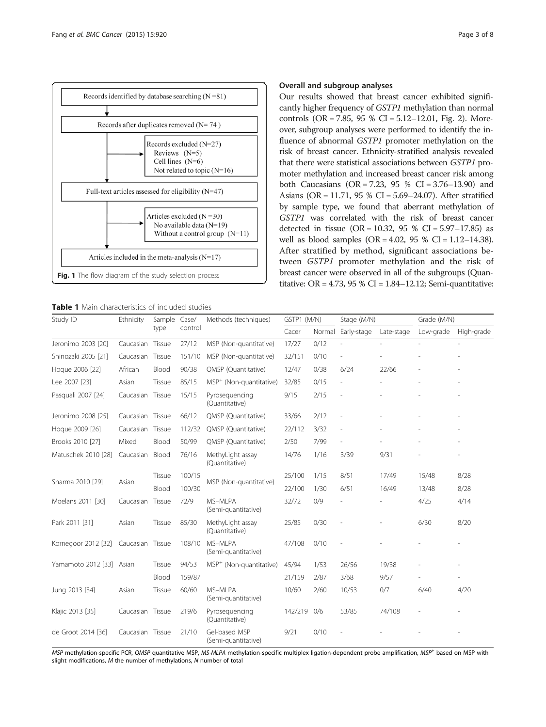<span id="page-2-0"></span>

Table 1 Main characteristics of included studies

#### Overall and subgroup analyses

Our results showed that breast cancer exhibited significantly higher frequency of GSTP1 methylation than normal controls (OR = 7.85, 95 % CI = 5.12–12.01, Fig. [2](#page-3-0)). Moreover, subgroup analyses were performed to identify the influence of abnormal GSTP1 promoter methylation on the risk of breast cancer. Ethnicity-stratified analysis revealed that there were statistical associations between GSTP1 promoter methylation and increased breast cancer risk among both Caucasians (OR = 7.23, 95 % CI = 3.76–13.90) and Asians (OR = 11.71, 95 % CI = 5.69–24.07). After stratified by sample type, we found that aberrant methylation of GSTP1 was correlated with the risk of breast cancer detected in tissue (OR = 10.32,  $95 \%$  CI = 5.97-17.85) as well as blood samples  $(OR = 4.02, 95 % CI = 1.12-14.38)$ . After stratified by method, significant associations between GSTP1 promoter methylation and the risk of breast cancer were observed in all of the subgroups (Quantitative: OR =  $4.73$ , 95 % CI =  $1.84-12.12$ ; Semi-quantitative:

| Study ID            | Ethnicity                | Sample Case/ |                                     | Methods (techniques)                 | GSTP1 (M/N) |        | Stage (M/N) |            | Grade (M/N) |            |
|---------------------|--------------------------|--------------|-------------------------------------|--------------------------------------|-------------|--------|-------------|------------|-------------|------------|
|                     |                          | type         | control                             |                                      | Cacer       | Normal | Early-stage | Late-stage | Low-grade   | High-grade |
| Jeronimo 2003 [20]  | Caucasian                | Tissue       | 27/12                               | MSP (Non-quantitative)               | 17/27       | 0/12   |             |            |             |            |
| Shinozaki 2005 [21] | Caucasian                | Tissue       | 151/10                              | MSP (Non-quantitative)               | 32/151      | 0/10   |             |            |             |            |
| Hoque 2006 [22]     | African                  | Blood        | 90/38                               | QMSP (Quantitative)                  | 12/47       | 0/38   | 6/24        | 22/66      |             |            |
| Lee 2007 [23]       | Asian                    | Tissue       | 85/15                               | MSP <sup>+</sup> (Non-quantitative)  | 32/85       | 0/15   | L,          |            |             |            |
| Pasquali 2007 [24]  | Caucasian                | Tissue       | 15/15                               | Pyrosequencing<br>(Ouantitative)     | 9/15        | 2/15   | L,          |            |             |            |
| Jeronimo 2008 [25]  | Caucasian Tissue         |              | 66/12                               | QMSP (Quantitative)                  | 33/66       | 2/12   | J.          |            |             |            |
| Hoque 2009 [26]     | Caucasian                | Tissue       | 112/32                              | QMSP (Quantitative)                  | 22/112      | 3/32   | L,          |            |             |            |
| Brooks 2010 [27]    | Mixed                    | Blood        | 50/99                               | QMSP (Quantitative)                  | 2/50        | 7/99   | L,          |            |             |            |
| Matuschek 2010 [28] | Caucasian                | Blood        | 76/16                               | MethyLight assay<br>(Quantitative)   | 14/76       | 1/16   | 3/39        | 9/31       |             |            |
| Sharma 2010 [29]    | Asian                    | Tissue       | 100/15                              |                                      | 25/100      | 1/15   | 8/51        | 17/49      | 15/48       | 8/28       |
|                     |                          | Blood        | 100/30                              | MSP (Non-quantitative)               | 22/100      | 1/30   | 6/51        | 16/49      | 13/48       | 8/28       |
| Moelans 2011 [30]   | Caucasian                | Tissue       | 72/9                                | MS-MLPA<br>(Semi-quantitative)       | 32/72       | 0/9    |             |            | 4/25        | 4/14       |
| Park 2011 [31]      | Asian                    | Tissue       | 85/30                               | MethyLight assay<br>(Quantitative)   | 25/85       | 0/30   |             |            | 6/30        | 8/20       |
| Kornegoor 2012 [32] | Caucasian                | Tissue       | 108/10                              | MS-MLPA<br>(Semi-quantitative)       | 47/108      | 0/10   |             |            |             |            |
| Yamamoto 2012 [33]  | 94/53<br>Asian<br>Tissue |              | MSP <sup>+</sup> (Non-quantitative) | 45/94                                | 1/53        | 26/56  | 19/38       |            | ٠           |            |
|                     |                          | Blood        | 159/87                              |                                      | 21/159      | 2/87   | 3/68        | 9/57       |             |            |
| Jung 2013 [34]      | Asian                    | Tissue       | 60/60                               | MS-MLPA<br>(Semi-quantitative)       | 10/60       | 2/60   | 10/53       | 0/7        | 6/40        | 4/20       |
| Klajic 2013 [35]    | Caucasian Tissue         |              | 219/6                               | Pyroseguencing<br>(Quantitative)     | 142/219     | 0/6    | 53/85       | 74/108     |             |            |
| de Groot 2014 [36]  | Caucasian Tissue         |              | 21/10                               | Gel-based MSP<br>(Semi-quantitative) | 9/21        | 0/10   |             |            |             |            |

MSP methylation-specific PCR, QMSP quantitative MSP, MS-MLPA methylation-specific multiplex ligation-dependent probe amplification, MSP<sup>+</sup> based on MSP with slight modifications, M the number of methylations, N number of total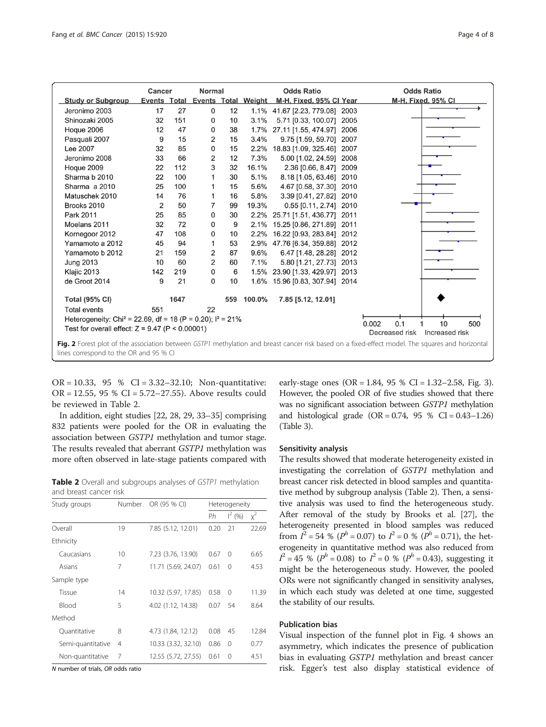<span id="page-3-0"></span>

|                                                                                                                                                                                            | Normal<br>Cancer                                                          |      | <b>Odds Ratio</b>                |    |            | <b>Odds Ratio</b>              |      |                    |
|--------------------------------------------------------------------------------------------------------------------------------------------------------------------------------------------|---------------------------------------------------------------------------|------|----------------------------------|----|------------|--------------------------------|------|--------------------|
| <b>Study or Subgroup</b>                                                                                                                                                                   |                                                                           |      | Events Total Events Total Weight |    |            | M-H, Fixed, 95% CI Year        |      | M-H, Fixed, 95% CI |
| Jeronimo 2003                                                                                                                                                                              | 17                                                                        | 27   | 0                                | 12 |            | 1.1% 41.67 [2.23, 779.08] 2003 |      |                    |
| Shinozaki 2005                                                                                                                                                                             | 32                                                                        | 151  | 0                                | 10 | 3.1%       | 5.71 [0.33, 100.07] 2005       |      |                    |
| Hoque 2006                                                                                                                                                                                 | 12                                                                        | 47   | 0                                | 38 |            | 1.7% 27.11 [1.55, 474.97] 2006 |      |                    |
| Pasquali 2007                                                                                                                                                                              | 9                                                                         | 15   | 2                                | 15 | 3.4%       | 9.75 [1.59, 59.70]             | 2007 |                    |
| Lee 2007                                                                                                                                                                                   | 32                                                                        | 85   | 0                                | 15 | 2.2%       | 18.83 [1.09, 325.46] 2007      |      |                    |
| Jeronimo 2008                                                                                                                                                                              | 33                                                                        | 66   | 2                                | 12 | 7.3%       | 5.00 [1.02, 24.59]             | 2008 |                    |
| Hoque 2009                                                                                                                                                                                 | 22                                                                        | 112  | 3                                | 32 | 16.1%      | 2.36 [0.66, 8.47] 2009         |      |                    |
| Sharma b 2010                                                                                                                                                                              | 22                                                                        | 100  | 1                                | 30 | 5.1%       | 8.18 [1.05, 63.46] 2010        |      |                    |
| Sharma a 2010                                                                                                                                                                              | 25                                                                        | 100  | 1                                | 15 | 5.6%       | 4.67 [0.58, 37.30] 2010        |      |                    |
| Matuschek 2010                                                                                                                                                                             | 14                                                                        | 76   | 1                                | 16 | 5.8%       | 3.39 [0.41, 27.82] 2010        |      |                    |
| Brooks 2010                                                                                                                                                                                | 2                                                                         | 50   | 7                                | 99 | 19.3%      | 0.55 [0.11, 2.74] 2010         |      |                    |
| Park 2011                                                                                                                                                                                  | 25                                                                        | 85   | $\mathbf 0$                      | 30 |            | 2.2% 25.71 [1.51, 436.77] 2011 |      |                    |
| Moelans 2011                                                                                                                                                                               | 32                                                                        | 72   | 0                                | 9  | 2.1%       | 15.25 [0.86, 271.89] 2011      |      |                    |
| Kornegoor 2012                                                                                                                                                                             | 47                                                                        | 108  | 0                                | 10 |            | 2.2% 16.22 [0.93, 283.84] 2012 |      |                    |
| Yamamoto a 2012                                                                                                                                                                            | 45                                                                        | 94   | 1                                | 53 |            | 2.9% 47.76 [6.34, 359.88] 2012 |      |                    |
| Yamamoto b 2012                                                                                                                                                                            | 21                                                                        | 159  | 2                                | 87 | 9.6%       | 6.47 [1.48, 28.28] 2012        |      |                    |
| <b>Jung 2013</b>                                                                                                                                                                           | 10                                                                        | 60   | 2                                | 60 | 7.1%       | 5.80 [1.21, 27.73] 2013        |      |                    |
| Klajic 2013                                                                                                                                                                                | 142                                                                       | 219  | 0                                | 6  |            | 1.5% 23.90 [1.33, 429.97] 2013 |      |                    |
| de Groot 2014                                                                                                                                                                              | 9                                                                         | 21   | $\Omega$                         | 10 |            | 1.6% 15.96 [0.83, 307.94] 2014 |      |                    |
| <b>Total (95% CI)</b>                                                                                                                                                                      |                                                                           | 1647 |                                  |    | 559 100.0% | 7.85 [5.12, 12.01]             |      |                    |
| <b>Total events</b>                                                                                                                                                                        | 551                                                                       |      | 22                               |    |            |                                |      |                    |
|                                                                                                                                                                                            | Heterogeneity: Chi <sup>2</sup> = 22.69, df = 18 (P = 0.20); $I^2 = 21\%$ |      |                                  |    |            |                                |      |                    |
| 10<br>500<br>0.002<br>0.1<br>Test for overall effect: $Z = 9.47$ (P < 0.00001)                                                                                                             |                                                                           |      |                                  |    |            |                                |      |                    |
| Decreased risk<br>Increased risk                                                                                                                                                           |                                                                           |      |                                  |    |            |                                |      |                    |
| Fig. 2 Forest plot of the association between GSTP1 methylation and breast cancer risk based on a fixed-effect model. The squares and horizontal<br>lines correspond to the OR and 95 % CI |                                                                           |      |                                  |    |            |                                |      |                    |

OR = 10.33, 95 % CI = 3.32–32.10; Non-quantitative: OR = 12.55, 95 % CI = 5.72–27.55). Above results could be reviewed in Table 2.

In addition, eight studies [[22](#page-7-0), [28, 29, 33](#page-7-0)–[35\]](#page-7-0) comprising 832 patients were pooled for the OR in evaluating the association between GSTP1 methylation and tumor stage. The results revealed that aberrant GSTP1 methylation was more often observed in late-stage patients compared with

**Table 2** Overall and subgroups analyses of GSTP1 methylation and breast cancer risk

| Number  | OR (95 % CI)        | Heterogeneity |           |       |  |
|---------|---------------------|---------------|-----------|-------|--|
|         |                     | Ph            | $1^2$ (%) | $x^2$ |  |
| 19      | 7.85 (5.12, 12.01)  | 0.20          | 21        | 22.69 |  |
|         |                     |               |           |       |  |
| $10 \,$ | 7.23 (3.76, 13.90)  | 0.67          | 0         | 6.65  |  |
| 7       | 11.71 (5.69, 24.07) | 0.61          | 0         | 4.53  |  |
|         |                     |               |           |       |  |
| 14      | 10.32 (5.97, 17.85) | 0.58          | $\Omega$  | 11.39 |  |
| 5       | 4.02 (1.12, 14.38)  | 0.07          | 54        | 8.64  |  |
|         |                     |               |           |       |  |
| 8       | 4.73 (1.84, 12.12)  | 0.08          | 45        | 12.84 |  |
| 4       | 10.33 (3.32, 32.10) | 0.86          | 0         | 0.77  |  |
| 7       | 12.55 (5.72, 27.55) | 0.61          | 0         | 4.51  |  |
|         | Semi-quantitative   |               |           |       |  |

N number of trials, OR odds ratio

early-stage ones  $(OR = 1.84, 95 % CI = 1.32–2.58, Fig. 3).$  $(OR = 1.84, 95 % CI = 1.32–2.58, Fig. 3).$  $(OR = 1.84, 95 % CI = 1.32–2.58, Fig. 3).$ However, the pooled OR of five studies showed that there was no significant association between GSTP1 methylation and histological grade  $(OR = 0.74, 95 % CI = 0.43-1.26)$ (Table [3](#page-4-0)).

## Sensitivity analysis

The results showed that moderate heterogeneity existed in investigating the correlation of GSTP1 methylation and breast cancer risk detected in blood samples and quantitative method by subgroup analysis (Table 2). Then, a sensitive analysis was used to find the heterogeneous study. After removal of the study by Brooks et al. [[27](#page-7-0)], the heterogeneity presented in blood samples was reduced from  $I^2 = 54\% (P^h = 0.07)$  to  $I^2 = 0\% (P^h = 0.71)$ , the heterogeneity in quantitative method was also reduced from  $I^2 = 45$  % ( $P^h = 0.08$ ) to  $I^2 = 0$  % ( $P^h = 0.43$ ), suggesting it might be the heterogeneous study. However, the pooled ORs were not significantly changed in sensitivity analyses, in which each study was deleted at one time, suggested the stability of our results.

## Publication bias

Visual inspection of the funnel plot in Fig. [4](#page-5-0) shows an asymmetry, which indicates the presence of publication bias in evaluating GSTP1 methylation and breast cancer risk. Egger's test also display statistical evidence of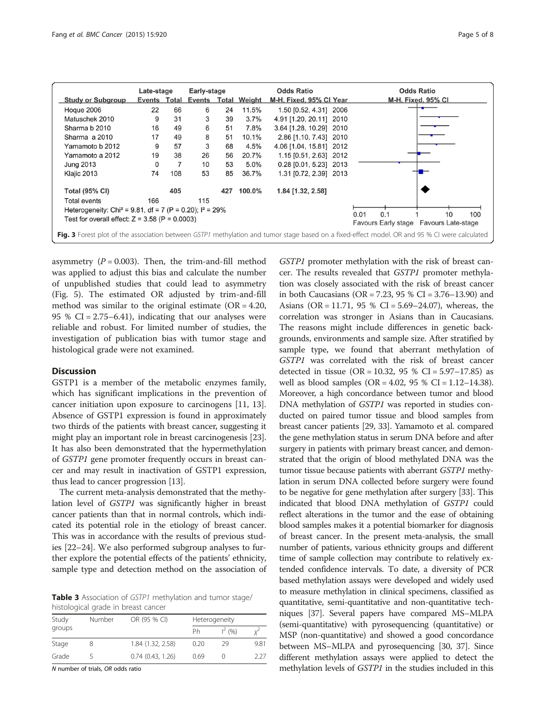<span id="page-4-0"></span>

|                                                                                                                                               | Late-stage   |                | Early-stage  |     |        | <b>Odds Ratio</b>       | <b>Odds Ratio</b>  |  |
|-----------------------------------------------------------------------------------------------------------------------------------------------|--------------|----------------|--------------|-----|--------|-------------------------|--------------------|--|
| <b>Study or Subgroup</b>                                                                                                                      | Events Total |                | Events Total |     | Weight | M-H, Fixed, 95% CI Year | M-H, Fixed, 95% CI |  |
| Hoque 2006                                                                                                                                    | 22           | 66             | 6            | 24  | 11.5%  | 1.50 [0.52, 4.31] 2006  |                    |  |
| Matuschek 2010                                                                                                                                | 9            | 31             | 3            | 39  | 3.7%   | 4.91 [1.20, 20.11] 2010 |                    |  |
| Sharma b 2010                                                                                                                                 | 16           | 49             | 6            | 51  | 7.8%   | 3.64 [1.28, 10.29] 2010 |                    |  |
| Sharma a 2010                                                                                                                                 | 17           | 49             | 8            | 51  | 10.1%  | 2.86 [1.10, 7.43] 2010  |                    |  |
| Yamamoto b 2012                                                                                                                               | 9            | 57             | 3            | 68  | 4.5%   | 4.06 [1.04, 15.81] 2012 |                    |  |
| Yamamoto a 2012                                                                                                                               | 19           | 38             | 26           | 56  | 20.7%  | 1.15 [0.51, 2.63] 2012  |                    |  |
| <b>Jung 2013</b>                                                                                                                              | $\Omega$     | $\overline{7}$ | 10           | 53  | 5.0%   | 0.28 [0.01, 5.23] 2013  |                    |  |
| Klajic 2013                                                                                                                                   | 74           | 108            | 53           | 85  | 36.7%  | 1.31 [0.72, 2.39] 2013  |                    |  |
| <b>Total (95% CI)</b>                                                                                                                         |              | 405            |              | 427 | 100.0% | 1.84 [1.32, 2.58]       |                    |  |
| Total events                                                                                                                                  | 166          |                | 115          |     |        |                         |                    |  |
| Heterogeneity: Chi <sup>2</sup> = 9.81, df = 7 (P = 0.20); $I^2$ = 29%<br>0.01<br>0.1<br>100<br>10                                            |              |                |              |     |        |                         |                    |  |
| Test for overall effect: $Z = 3.58$ (P = 0.0003)<br>Favours Early stage Favours Late-stage                                                    |              |                |              |     |        |                         |                    |  |
| Fig. 3 Forest plot of the association between GSTP1 methylation and tumor stage based on a fixed-effect model. OR and 95 % CI were calculated |              |                |              |     |        |                         |                    |  |

asymmetry  $(P = 0.003)$ . Then, the trim-and-fill method was applied to adjust this bias and calculate the number of unpublished studies that could lead to asymmetry (Fig. [5](#page-5-0)). The estimated OR adjusted by trim-and-fill method was similar to the original estimate ( $OR = 4.20$ , 95 %  $CI = 2.75-6.41$ , indicating that our analyses were reliable and robust. For limited number of studies, the investigation of publication bias with tumor stage and histological grade were not examined.

## **Discussion**

GSTP1 is a member of the metabolic enzymes family, which has significant implications in the prevention of cancer initiation upon exposure to carcinogens [[11,](#page-6-0) [13](#page-7-0)]. Absence of GSTP1 expression is found in approximately two thirds of the patients with breast cancer, suggesting it might play an important role in breast carcinogenesis [[23](#page-7-0)]. It has also been demonstrated that the hypermethylation of GSTP1 gene promoter frequently occurs in breast cancer and may result in inactivation of GSTP1 expression, thus lead to cancer progression [\[13\]](#page-7-0).

The current meta-analysis demonstrated that the methylation level of GSTP1 was significantly higher in breast cancer patients than that in normal controls, which indicated its potential role in the etiology of breast cancer. This was in accordance with the results of previous studies [\[22](#page-7-0)–[24\]](#page-7-0). We also performed subgroup analyses to further explore the potential effects of the patients' ethnicity, sample type and detection method on the association of

Table 3 Association of GSTP1 methylation and tumor stage/ histological grade in breast cancer

| Study<br>groups | Number | OR (95 % CI)          |      | Heterogeneity |       |  |  |
|-----------------|--------|-----------------------|------|---------------|-------|--|--|
|                 |        |                       | Ph   | $1^2$ (%)     |       |  |  |
| Stage           |        | 1.84 (1.32, 2.58)     | 0.20 | -29           | 9.81  |  |  |
| Grade           |        | $0.74$ $(0.43, 1.26)$ | 0.69 |               | 2 2 7 |  |  |

N number of trials, OR odds ratio

GSTP1 promoter methylation with the risk of breast cancer. The results revealed that GSTP1 promoter methylation was closely associated with the risk of breast cancer in both Caucasians (OR = 7.23, 95 % CI = 3.76–13.90) and Asians (OR = 11.71, 95 % CI = 5.69–24.07), whereas, the correlation was stronger in Asians than in Caucasians. The reasons might include differences in genetic backgrounds, environments and sample size. After stratified by sample type, we found that aberrant methylation of GSTP1 was correlated with the risk of breast cancer detected in tissue (OR = 10.32, 95 % CI =  $5.97-17.85$ ) as well as blood samples (OR = 4.02, 95 % CI = 1.12–14.38). Moreover, a high concordance between tumor and blood DNA methylation of GSTP1 was reported in studies conducted on paired tumor tissue and blood samples from breast cancer patients [\[29, 33](#page-7-0)]. Yamamoto et al. compared the gene methylation status in serum DNA before and after surgery in patients with primary breast cancer, and demonstrated that the origin of blood methylated DNA was the tumor tissue because patients with aberrant GSTP1 methylation in serum DNA collected before surgery were found to be negative for gene methylation after surgery [\[33\]](#page-7-0). This indicated that blood DNA methylation of GSTP1 could reflect alterations in the tumor and the ease of obtaining blood samples makes it a potential biomarker for diagnosis of breast cancer. In the present meta-analysis, the small number of patients, various ethnicity groups and different time of sample collection may contribute to relatively extended confidence intervals. To date, a diversity of PCR based methylation assays were developed and widely used to measure methylation in clinical specimens, classified as quantitative, semi-quantitative and non-quantitative techniques [\[37\]](#page-7-0). Several papers have compared MS–MLPA (semi-quantitative) with pyrosequencing (quantitative) or MSP (non-quantitative) and showed a good concordance between MS–MLPA and pyrosequencing [[30](#page-7-0), [37\]](#page-7-0). Since different methylation assays were applied to detect the methylation levels of GSTP1 in the studies included in this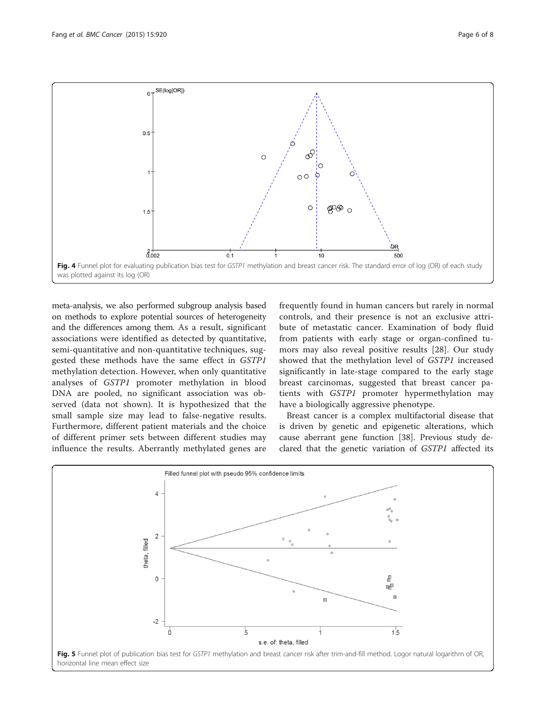<span id="page-5-0"></span>

meta-analysis, we also performed subgroup analysis based on methods to explore potential sources of heterogeneity and the differences among them. As a result, significant associations were identified as detected by quantitative, semi-quantitative and non-quantitative techniques, suggested these methods have the same effect in GSTP1 methylation detection. However, when only quantitative analyses of GSTP1 promoter methylation in blood DNA are pooled, no significant association was observed (data not shown). It is hypothesized that the small sample size may lead to false-negative results. Furthermore, different patient materials and the choice of different primer sets between different studies may influence the results. Aberrantly methylated genes are

frequently found in human cancers but rarely in normal controls, and their presence is not an exclusive attribute of metastatic cancer. Examination of body fluid from patients with early stage or organ-confined tumors may also reveal positive results [[28\]](#page-7-0). Our study showed that the methylation level of GSTP1 increased significantly in late-stage compared to the early stage breast carcinomas, suggested that breast cancer patients with GSTP1 promoter hypermethylation may have a biologically aggressive phenotype.

Breast cancer is a complex multifactorial disease that is driven by genetic and epigenetic alterations, which cause aberrant gene function [\[38\]](#page-7-0). Previous study declared that the genetic variation of GSTP1 affected its

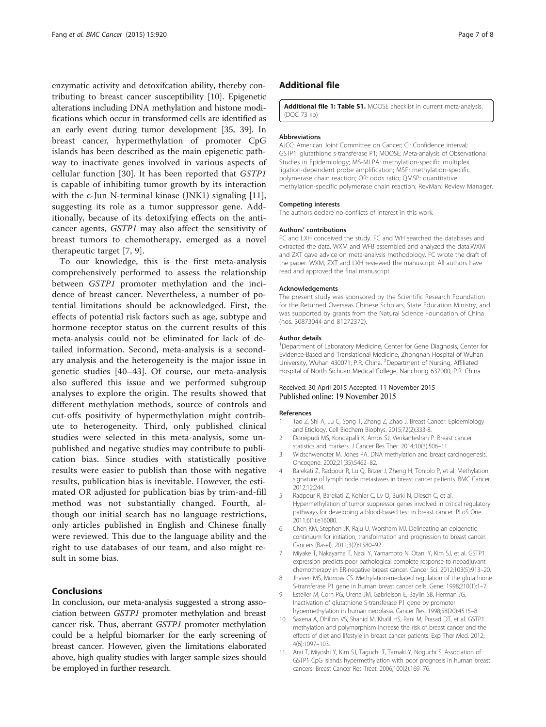<span id="page-6-0"></span>enzymatic activity and detoxifcation ability, thereby contributing to breast cancer susceptibility [10]. Epigenetic alterations including DNA methylation and histone modifications which occur in transformed cells are identified as an early event during tumor development [[35](#page-7-0), [39](#page-7-0)]. In breast cancer, hypermethylation of promoter CpG islands has been described as the main epigenetic pathway to inactivate genes involved in various aspects of cellular function [[30\]](#page-7-0). It has been reported that GSTP1 is capable of inhibiting tumor growth by its interaction with the c-Jun N-terminal kinase (JNK1) signaling [11], suggesting its role as a tumor suppressor gene. Additionally, because of its detoxifying effects on the anticancer agents, GSTP1 may also affect the sensitivity of breast tumors to chemotherapy, emerged as a novel therapeutic target [7, 9].

To our knowledge, this is the first meta-analysis comprehensively performed to assess the relationship between GSTP1 promoter methylation and the incidence of breast cancer. Nevertheless, a number of potential limitations should be acknowledged. First, the effects of potential risk factors such as age, subtype and hormone receptor status on the current results of this meta-analysis could not be eliminated for lack of detailed information. Second, meta-analysis is a secondary analysis and the heterogeneity is the major issue in genetic studies [\[40](#page-7-0)–[43\]](#page-7-0). Of course, our meta-analysis also suffered this issue and we performed subgroup analyses to explore the origin. The results showed that different methylation methods, source of controls and cut-offs positivity of hypermethylation might contribute to heterogeneity. Third, only published clinical studies were selected in this meta-analysis, some unpublished and negative studies may contribute to publication bias. Since studies with statistically positive results were easier to publish than those with negative results, publication bias is inevitable. However, the estimated OR adjusted for publication bias by trim-and-fill method was not substantially changed. Fourth, although our initial search has no language restrictions, only articles published in English and Chinese finally were reviewed. This due to the language ability and the right to use databases of our team, and also might result in some bias.

## **Conclusions**

In conclusion, our meta-analysis suggested a strong association between GSTP1 promoter methylation and breast cancer risk. Thus, aberrant GSTP1 promoter methylation could be a helpful biomarker for the early screening of breast cancer. However, given the limitations elaborated above, high quality studies with larger sample sizes should be employed in further research.

## Additional file

[Additional file 1: Table S1.](dx.doi.org/10.1186/s12885-015-1926-1) MOOSE checklist in current meta-analysis. (DOC 73 kb)

#### **Abbreviations**

AJCC: American Joint Committee on Cancer; CI: Confidence interval; GSTP1: glutathione s-transferase P1; MOOSE: Meta-analysis of Observational Studies in Epidemiology; MS-MLPA: methylation-specific multiplex ligation-dependent probe amplification; MSP: methylation-specific polymerase chain reaction; OR: odds ratio; QMSP: quantitative methylation-specific polymerase chain reaction; RevMan: Review Manager.

#### Competing interests

The authors declare no conflicts of interest in this work.

#### Authors' contributions

FC and LXH conceived the study. FC and WH searched the databases and extracted the data. WXM and WFB assembled and analyzed the data.WXM and ZXT gave advice on meta-analysis methodology. FC wrote the draft of the paper. WXM, ZXT and LXH reviewed the manuscript. All authors have read and approved the final manuscript.

#### Acknowledgements

The present study was sponsored by the Scientific Research Foundation for the Returned Overseas Chinese Scholars, State Education Ministry, and was supported by grants from the Natural Science Foundation of China (nos. 30873044 and 81272372).

#### Author details

<sup>1</sup>Department of Laboratory Medicine, Center for Gene Diagnosis, Center for Evidence-Based and Translational Medicine, Zhongnan Hospital of Wuhan University, Wuhan 430071, P.R. China. <sup>2</sup>Department of Nursing, Affiliated Hospital of North Sichuan Medical College, Nanchong 637000, P.R. China.

#### Received: 30 April 2015 Accepted: 11 November 2015 Published online: 19 November 2015

#### References

- 1. Tao Z, Shi A, Lu C, Song T, Zhang Z, Zhao J. Breast Cancer: Epidemiology and Etiology. Cell Biochem Biophys. 2015;72(2):333-8.
- 2. Donepudi MS, Kondapalli K, Amos SJ, Venkanteshan P. Breast cancer statistics and markers. J Cancer Res Ther. 2014;10(3):506–11.
- 3. Widschwendter M, Jones PA. DNA methylation and breast carcinogenesis. Oncogene. 2002;21(35):5462–82.
- 4. Barekati Z, Radpour R, Lu Q, Bitzer J, Zheng H, Toniolo P, et al. Methylation signature of lymph node metastases in breast cancer patients. BMC Cancer. 2012;12:244.
- 5. Radpour R, Barekati Z, Kohler C, Lv Q, Burki N, Diesch C, et al. Hypermethylation of tumor suppressor genes involved in critical regulatory pathways for developing a blood-based test in breast cancer. PLoS One. 2011;6(1):e16080.
- 6. Chen KM, Stephen JK, Raju U, Worsham MJ. Delineating an epigenetic continuum for initiation, transformation and progression to breast cancer. Cancers (Basel). 2011;3(2):1580–92.
- 7. Miyake T, Nakayama T, Naoi Y, Yamamoto N, Otani Y, Kim SJ, et al. GSTP1 expression predicts poor pathological complete response to neoadjuvant chemotherapy in ER-negative breast cancer. Cancer Sci. 2012;103(5):913–20.
- 8. Jhaveri MS, Morrow CS. Methylation-mediated regulation of the glutathione S-transferase P1 gene in human breast cancer cells. Gene. 1998;210(1):1–7.
- 9. Esteller M, Corn PG, Urena JM, Gabrielson E, Baylin SB, Herman JG. Inactivation of glutathione S-transferase P1 gene by promoter hypermethylation in human neoplasia. Cancer Res. 1998;58(20):4515–8.
- 10. Saxena A, Dhillon VS, Shahid M, Khalil HS, Rani M, Prasad DT, et al. GSTP1 methylation and polymorphism increase the risk of breast cancer and the effects of diet and lifestyle in breast cancer patients. Exp Ther Med. 2012; 4(6):1097–103.
- 11. Arai T, Miyoshi Y, Kim SJ, Taguchi T, Tamaki Y, Noguchi S. Association of GSTP1 CpG islands hypermethylation with poor prognosis in human breast cancers. Breast Cancer Res Treat. 2006;100(2):169–76.